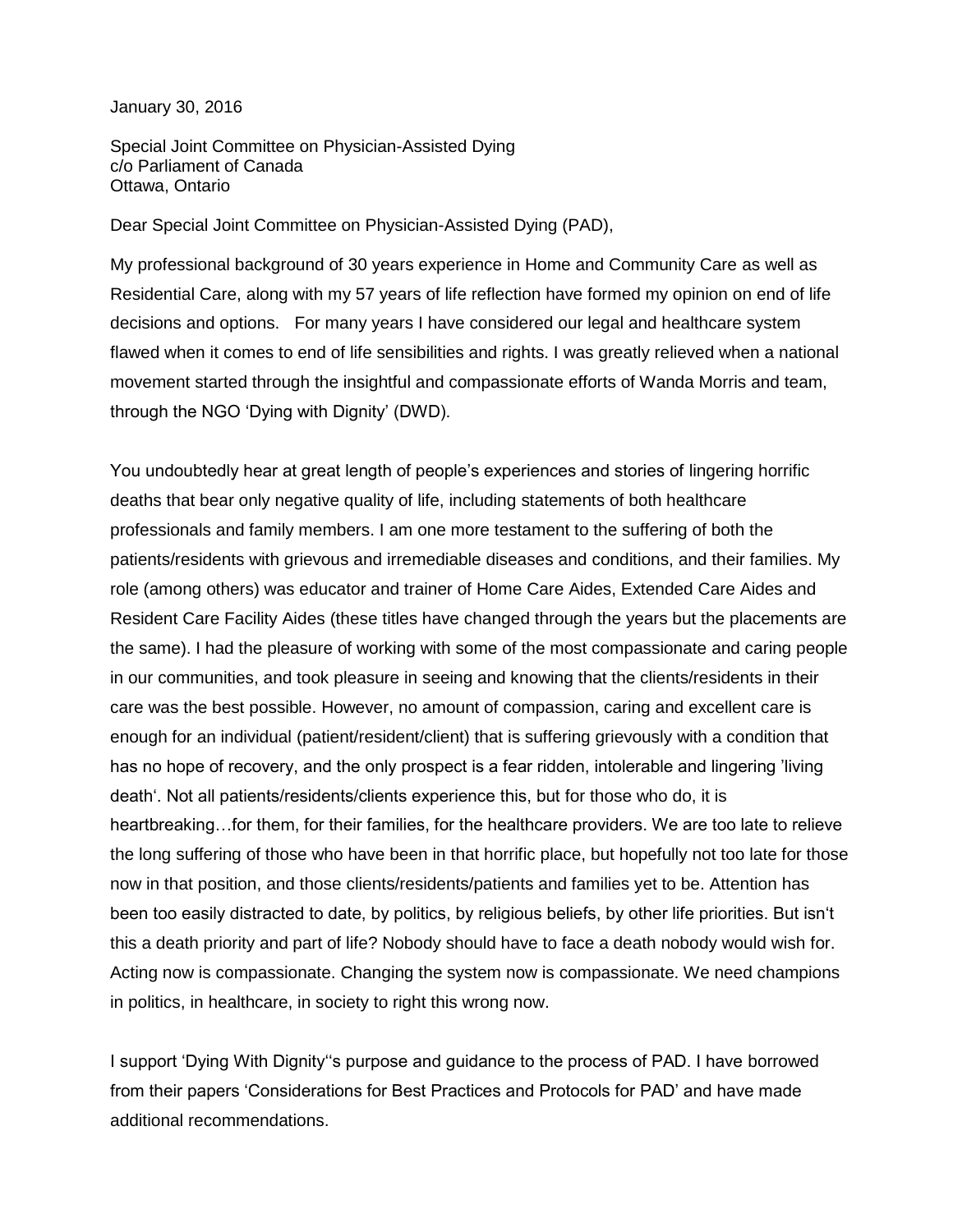January 30, 2016

Special Joint Committee on Physician-Assisted Dying c/o Parliament of Canada Ottawa, Ontario

Dear Special Joint Committee on Physician-Assisted Dying (PAD),

My professional background of 30 years experience in Home and Community Care as well as Residential Care, along with my 57 years of life reflection have formed my opinion on end of life decisions and options. For many years I have considered our legal and healthcare system flawed when it comes to end of life sensibilities and rights. I was greatly relieved when a national movement started through the insightful and compassionate efforts of Wanda Morris and team, through the NGO 'Dying with Dignity' (DWD).

You undoubtedly hear at great length of people's experiences and stories of lingering horrific deaths that bear only negative quality of life, including statements of both healthcare professionals and family members. I am one more testament to the suffering of both the patients/residents with grievous and irremediable diseases and conditions, and their families. My role (among others) was educator and trainer of Home Care Aides, Extended Care Aides and Resident Care Facility Aides (these titles have changed through the years but the placements are the same). I had the pleasure of working with some of the most compassionate and caring people in our communities, and took pleasure in seeing and knowing that the clients/residents in their care was the best possible. However, no amount of compassion, caring and excellent care is enough for an individual (patient/resident/client) that is suffering grievously with a condition that has no hope of recovery, and the only prospect is a fear ridden, intolerable and lingering 'living death'. Not all patients/residents/clients experience this, but for those who do, it is heartbreaking…for them, for their families, for the healthcare providers. We are too late to relieve the long suffering of those who have been in that horrific place, but hopefully not too late for those now in that position, and those clients/residents/patients and families yet to be. Attention has been too easily distracted to date, by politics, by religious beliefs, by other life priorities. But isn't this a death priority and part of life? Nobody should have to face a death nobody would wish for. Acting now is compassionate. Changing the system now is compassionate. We need champions in politics, in healthcare, in society to right this wrong now.

I support 'Dying With Dignity''s purpose and guidance to the process of PAD. I have borrowed from their papers 'Considerations for Best Practices and Protocols for PAD' and have made additional recommendations.